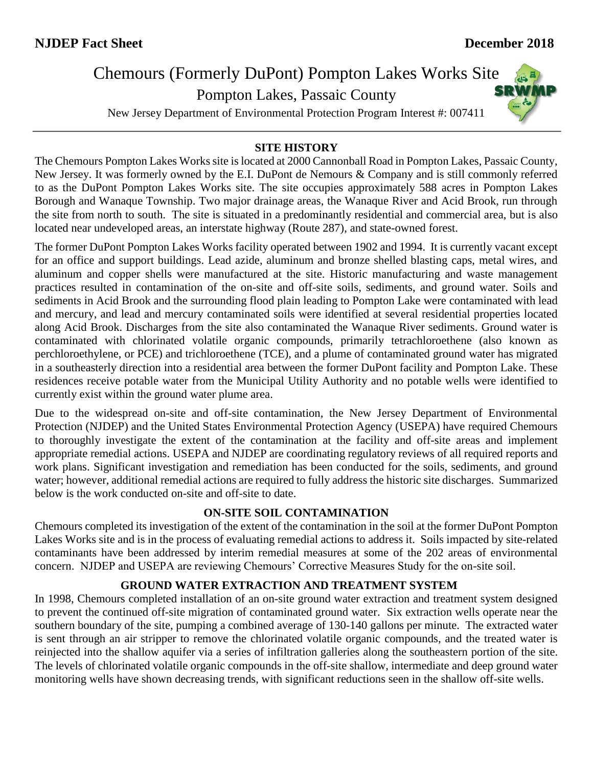# Chemours (Formerly DuPont) Pompton Lakes Works Site

Pompton Lakes, Passaic County

New Jersey Department of Environmental Protection Program Interest #: 007411

# **SRWMP**

#### **SITE HISTORY**

The Chemours Pompton Lakes Works site is located at 2000 Cannonball Road in Pompton Lakes, Passaic County, New Jersey. It was formerly owned by the E.I. DuPont de Nemours & Company and is still commonly referred to as the DuPont Pompton Lakes Works site. The site occupies approximately 588 acres in Pompton Lakes Borough and Wanaque Township. Two major drainage areas, the Wanaque River and Acid Brook, run through the site from north to south. The site is situated in a predominantly residential and commercial area, but is also located near undeveloped areas, an interstate highway (Route 287), and state-owned forest.

The former DuPont Pompton Lakes Works facility operated between 1902 and 1994. It is currently vacant except for an office and support buildings. Lead azide, aluminum and bronze shelled blasting caps, metal wires, and aluminum and copper shells were manufactured at the site. Historic manufacturing and waste management practices resulted in contamination of the on-site and off-site soils, sediments, and ground water. Soils and sediments in Acid Brook and the surrounding flood plain leading to Pompton Lake were contaminated with lead and mercury, and lead and mercury contaminated soils were identified at several residential properties located along Acid Brook. Discharges from the site also contaminated the Wanaque River sediments. Ground water is contaminated with chlorinated volatile organic compounds, primarily tetrachloroethene (also known as perchloroethylene, or PCE) and trichloroethene (TCE), and a plume of contaminated ground water has migrated in a southeasterly direction into a residential area between the former DuPont facility and Pompton Lake. These residences receive potable water from the Municipal Utility Authority and no potable wells were identified to currently exist within the ground water plume area.

Due to the widespread on-site and off-site contamination, the New Jersey Department of Environmental Protection (NJDEP) and the United States Environmental Protection Agency (USEPA) have required Chemours to thoroughly investigate the extent of the contamination at the facility and off-site areas and implement appropriate remedial actions. USEPA and NJDEP are coordinating regulatory reviews of all required reports and work plans. Significant investigation and remediation has been conducted for the soils, sediments, and ground water; however, additional remedial actions are required to fully address the historic site discharges. Summarized below is the work conducted on-site and off-site to date.

### **ON-SITE SOIL CONTAMINATION**

Chemours completed its investigation of the extent of the contamination in the soil at the former DuPont Pompton Lakes Works site and is in the process of evaluating remedial actions to address it. Soils impacted by site-related contaminants have been addressed by interim remedial measures at some of the 202 areas of environmental concern. NJDEP and USEPA are reviewing Chemours' Corrective Measures Study for the on-site soil.

### **GROUND WATER EXTRACTION AND TREATMENT SYSTEM**

In 1998, Chemours completed installation of an on-site ground water extraction and treatment system designed to prevent the continued off-site migration of contaminated ground water. Six extraction wells operate near the southern boundary of the site, pumping a combined average of 130-140 gallons per minute. The extracted water is sent through an air stripper to remove the chlorinated volatile organic compounds, and the treated water is reinjected into the shallow aquifer via a series of infiltration galleries along the southeastern portion of the site. The levels of chlorinated volatile organic compounds in the off-site shallow, intermediate and deep ground water monitoring wells have shown decreasing trends, with significant reductions seen in the shallow off-site wells.